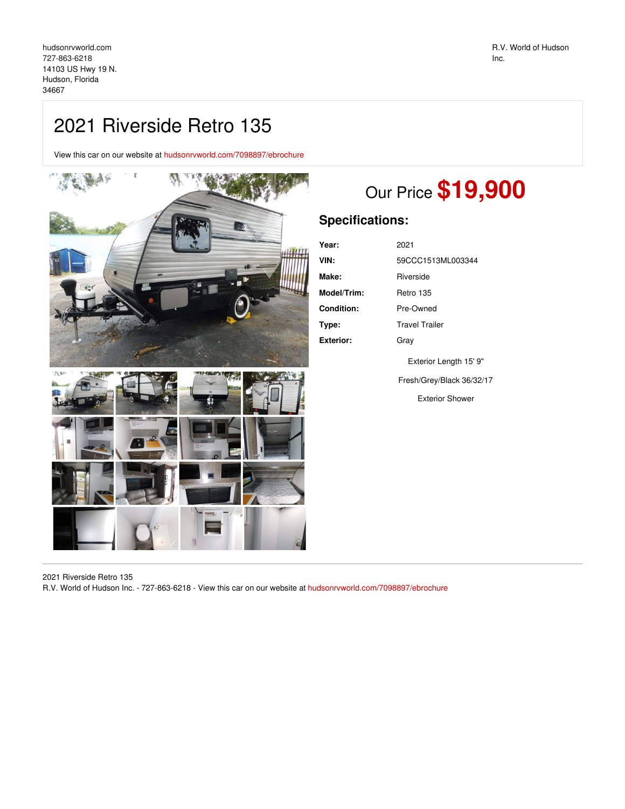## 2021 Riverside Retro 135

View this car on our website at [hudsonrvworld.com/7098897/ebrochure](https://hudsonrvworld.com/vehicle/7098897/2021-riverside-retro-135-hudson-florida-34667/7098897/ebrochure)



## Our Price **\$19,900**

## **Specifications:**

| Year:       | 2021                      |
|-------------|---------------------------|
| VIN:        | 59CCC1513ML003344         |
| Make:       | Riverside                 |
| Model/Trim: | Retro 135                 |
| Condition:  | Pre-Owned                 |
| Type:       | <b>Travel Trailer</b>     |
| Exterior:   | Grav                      |
|             | Exterior Length 15' 9"    |
|             | Fresh/Grey/Black 36/32/17 |
|             | <b>Exterior Shower</b>    |

2021 Riverside Retro 135

R.V. World of Hudson Inc. - 727-863-6218 - View this car on our website at [hudsonrvworld.com/7098897/ebrochure](https://hudsonrvworld.com/vehicle/7098897/2021-riverside-retro-135-hudson-florida-34667/7098897/ebrochure)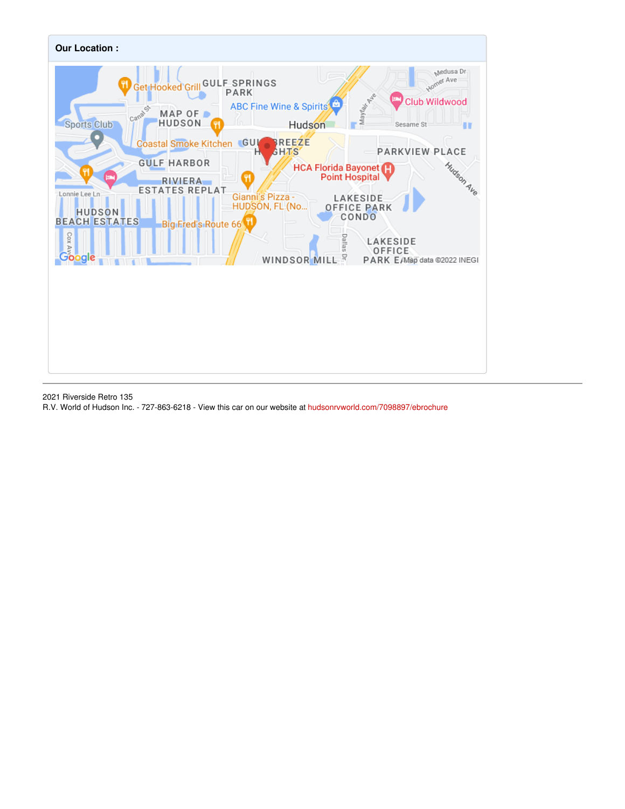

2021 Riverside Retro 135

R.V. World of Hudson Inc. - 727-863-6218 - View this car on our website at [hudsonrvworld.com/7098897/ebrochure](https://hudsonrvworld.com/vehicle/7098897/2021-riverside-retro-135-hudson-florida-34667/7098897/ebrochure)